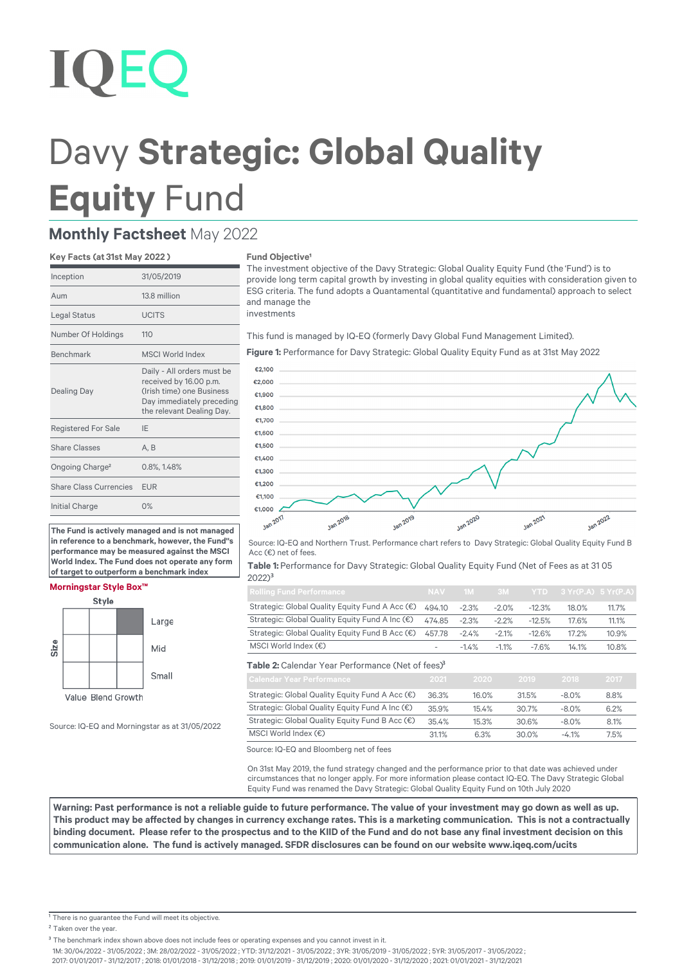# **IOEC**

## Davy **Strategic: Global Quality Equity** Fund

### **Monthly Factsheet** May 2022

#### **Key Facts (at 31st May 2022 )**

| 31/05/2019                                                                                                                                  |
|---------------------------------------------------------------------------------------------------------------------------------------------|
| 13.8 million                                                                                                                                |
| <b>UCITS</b>                                                                                                                                |
| 110                                                                                                                                         |
| <b>MSCI World Index</b>                                                                                                                     |
| Daily - All orders must be<br>received by 16.00 p.m.<br>(Irish time) one Business<br>Day immediately preceding<br>the relevant Dealing Day. |
| IE                                                                                                                                          |
| A.B                                                                                                                                         |
| 0.8%, 1.48%                                                                                                                                 |
| <b>EUR</b>                                                                                                                                  |
| 0%                                                                                                                                          |
|                                                                                                                                             |

**The Fund is actively managed and is not managed in reference to a benchmark, however, the Fund''s performance may be measured against the MSCI World Index. The Fund does not operate any form of target to outperform a benchmark index**

#### **Morningstar Style Box™**



Source: IQ-EQ and Morningstar as at 31/05/2022

#### **Fund Objective**

The investment objective of the Davy Strategic: Global Quality Equity Fund (the 'Fund') is to provide long term capital growth by investing in global quality equities with consideration given to ESG criteria. The fund adopts a Quantamental (quantitative and fundamental) approach to select and manage the investments

This fund is managed by IQ-EQ (formerly Davy Global Fund Management Limited).

**Figure 1:** Performance for Davy Strategic: Global Quality Equity Fund as at 31st May 2022



Source: IQ-EQ and Northern Trust. Performance chart refers to Davy Strategic: Global Quality Equity Fund B Acc (€) net of fees.

**Table 1:** Performance for Davy Strategic: Global Quality Equity Fund (Net of Fees as at 31 05 2022)<sup>3</sup>

| <b>Rolling Fund Performance</b>                              |        |          |          |          | NAV 1M 3M YTD 3 Yr(P.A) 5 Yr(P.A) |       |
|--------------------------------------------------------------|--------|----------|----------|----------|-----------------------------------|-------|
| Strategic: Global Quality Equity Fund A Acc (€)              | 494.10 | $-2.3\%$ | $-2.0\%$ | $-12.3%$ | 18.0%                             | 11.7% |
| Strategic: Global Quality Equity Fund A Inc (€)              | 474.85 | $-2.3%$  | $-2.2\%$ | $-12.5%$ | 17.6%                             | 11.1% |
| Strategic: Global Quality Equity Fund B Acc (€) 457.78 -2.4% |        |          | $-2.1\%$ | $-12.6%$ | 17.2%                             | 10.9% |
| MSCI World Index $(\epsilon)$                                |        | $-1.4\%$ | $-1.1\%$ | $-7.6%$  | 14.1%                             | 10.8% |

Table 2: Calendar Year Performance (Net of fees)<sup>3</sup>

| <b>Calendar Year Performance</b>                | 2021  | 2020  | 2019  | 2018    | 2017 |
|-------------------------------------------------|-------|-------|-------|---------|------|
| Strategic: Global Quality Equity Fund A Acc (€) | 36.3% | 16.0% | 31.5% | $-8.0%$ | 8.8% |
| Strategic: Global Quality Equity Fund A Inc (€) | 35.9% | 15.4% | 30.7% | $-8.0%$ | 6.2% |
| Strategic: Global Quality Equity Fund B Acc (€) | 35.4% | 15.3% | 30.6% | $-8.0%$ | 8.1% |
| MSCI World Index (€)                            | 31.1% | 6.3%  | 30.0% | $-4.1%$ | 7.5% |

Source: IQ-EQ and Bloomberg net of fees

On 31st May 2019, the fund strategy changed and the performance prior to that date was achieved under circumstances that no longer apply. For more information please contact IQ-EQ. The Davy Strategic Global Equity Fund was renamed the Davy Strategic: Global Quality Equity Fund on 10th July 2020

**Warning: Past performance is not a reliable guide to future performance. The value of your investment may go down as well as up.**  This product may be affected by changes in currency exchange rates. This is a marketing communication. This is not a contractually binding document. Please refer to the prospectus and to the KIID of the Fund and do not base any final investment decision on this communication alone. The fund is actively managed. SFDR disclosures can be found on our website www.iqeq.com/ucits

<sup>1</sup> There is no guarantee the Fund will meet its objective.

<sup>2</sup> Taken over the year.

<sup>3</sup> The benchmark index shown above does not include fees or operating expenses and you cannot invest in it.

1M: 30/04/2022 - 31/05/2022 ; 3M: 28/02/2022 - 31/05/2022 ; YTD: 31/12/2021 - 31/05/2022 ; 3YR: 31/05/2019 - 31/05/2022 ; 5YR: 31/05/2017 - 31/05/2022 ;

2017: 01/01/2017 - 31/12/2017 ; 2018: 01/01/2018 - 31/12/2018 ; 2019: 01/01/2019 - 31/12/2019 ; 2020: 01/01/2020 - 31/12/2020 ; 2021: 01/01/2021 - 31/12/2021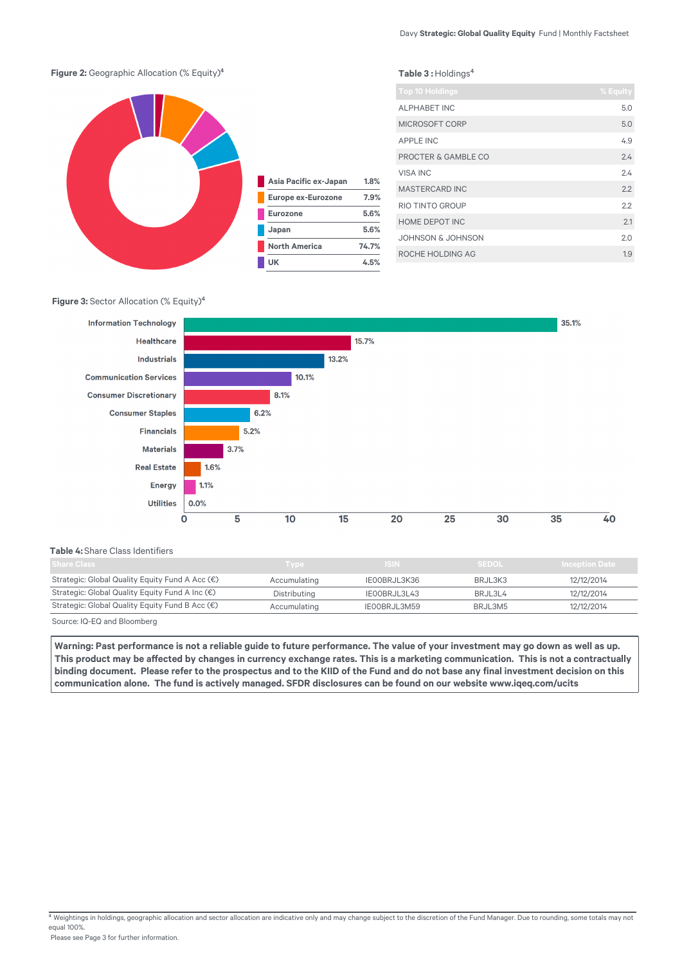Table 3 : Holdings<sup>4</sup>

#### **Figure 2:** Geographic Allocation (% Equity)<sup>4</sup>



| Asia Pacific ex-Japan     | 1.8%  |
|---------------------------|-------|
| <b>Europe ex-Eurozone</b> | 7.9%  |
| <b>Eurozone</b>           | 5.6%  |
| Japan                     | 5.6%  |
| <b>North America</b>      | 74.7% |
| UK                        | 4.5%  |

| <b>Top 10 Holdings</b> | % Equity |
|------------------------|----------|
| <b>ALPHABET INC</b>    | 5.0      |
| <b>MICROSOFT CORP</b>  | 5.0      |
| <b>APPLE INC</b>       | 4.9      |
| PROCTER & GAMBLE CO    | 24       |
| <b>VISA INC</b>        | 2.4      |
| <b>MASTERCARD INC</b>  | 2.2      |
| RIO TINTO GROUP        | 22       |
| HOME DEPOT INC         | 2.1      |
| JOHNSON & JOHNSON      | 2.0      |
| ROCHE HOLDING AG       | 1.9      |

#### **Figure 3: Sector Allocation (% Equity)<sup>4</sup>**



#### **Table 4:** Share Class Identifiers

| Share Class                                     | <b>Type</b>  | <b>ISIN</b>  | <b>SEDOL</b> | <b>Inception Date</b> |
|-------------------------------------------------|--------------|--------------|--------------|-----------------------|
| Strategic: Global Quality Equity Fund A Acc (€) | Accumulating | IEOOBRJL3K36 | BRJL3K3      | 12/12/2014            |
| Strategic: Global Quality Equity Fund A Inc (€) | Distributing | IEOOBRJL3L43 | BRJL3L4      | 12/12/2014            |
| Strategic: Global Quality Equity Fund B Acc (€) | Accumulating | IEOOBRJL3M59 | BRJL3M5      | 12/12/2014            |
|                                                 |              |              |              |                       |

Source: IQ-EQ and Bloomberg

**Warning: Past performance is not a reliable guide to future performance. The value of your investment may go down as well as up.**  This product may be affected by changes in currency exchange rates. This is a marketing communication. This is not a contractually binding document. Please refer to the prospectus and to the KIID of the Fund and do not base any final investment decision on this communication alone. The fund is actively managed. SFDR disclosures can be found on our website www.iqeq.com/ucits

 $\frac{4}{3}$  Weightings in holdings, geographic allocation and sector allocation are indicative only and may change subject to the discretion of the Fund Manager. Due to rounding, some totals may not equal 100%.